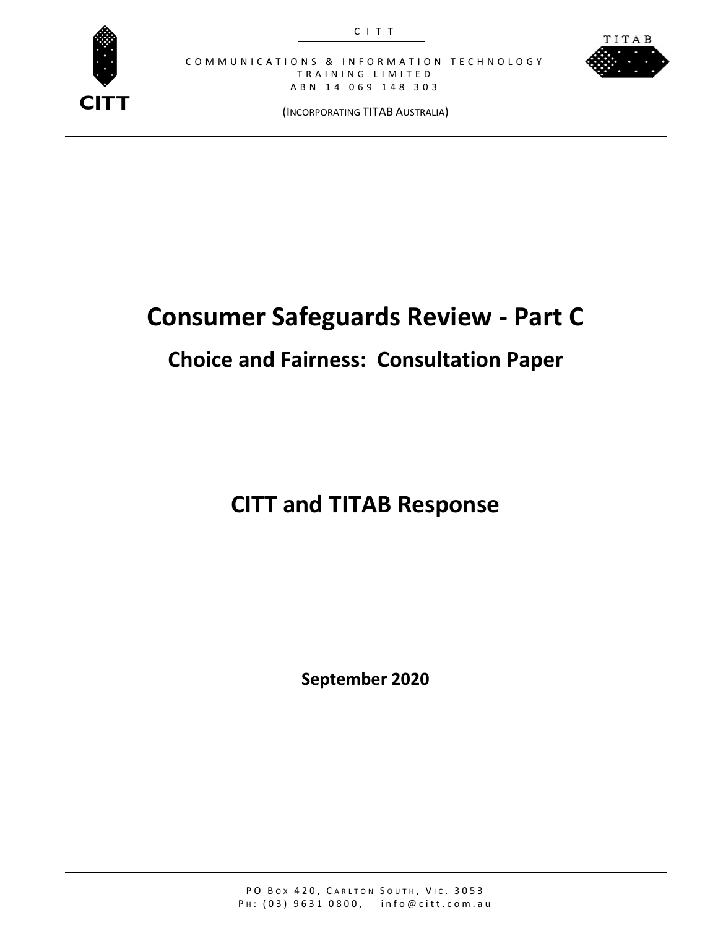



(INCORPORATING TITAB AUSTRALIA)

# **Consumer Safeguards Review - Part C**

# **Choice and Fairness: Consultation Paper**

# **CITT and TITAB Response**

**September 2020**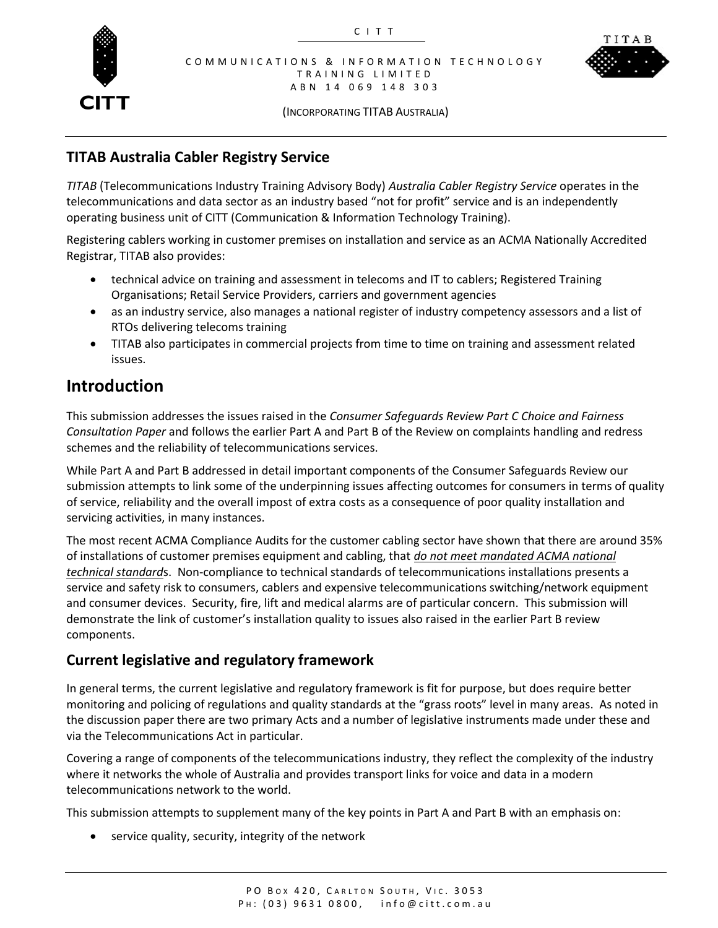



(INCORPORATING TITAB AUSTRALIA)

### **TITAB Australia Cabler Registry Service**

*TITAB* (Telecommunications Industry Training Advisory Body) *Australia Cabler Registry Service* operates in the telecommunications and data sector as an industry based "not for profit" service and is an independently operating business unit of CITT (Communication & Information Technology Training).

Registering cablers working in customer premises on installation and service as an ACMA Nationally Accredited Registrar, TITAB also provides:

- technical advice on training and assessment in telecoms and IT to cablers; Registered Training Organisations; Retail Service Providers, carriers and government agencies
- as an industry service, also manages a national register of industry competency assessors and a list of RTOs delivering telecoms training
- TITAB also participates in commercial projects from time to time on training and assessment related issues.

## **Introduction**

This submission addresses the issues raised in the *Consumer Safeguards Review Part C Choice and Fairness Consultation Paper* and follows the earlier Part A and Part B of the Review on complaints handling and redress schemes and the reliability of telecommunications services.

While Part A and Part B addressed in detail important components of the Consumer Safeguards Review our submission attempts to link some of the underpinning issues affecting outcomes for consumers in terms of quality of service, reliability and the overall impost of extra costs as a consequence of poor quality installation and servicing activities, in many instances.

The most recent ACMA Compliance Audits for the customer cabling sector have shown that there are around 35% of installations of customer premises equipment and cabling, that *do not meet mandated ACMA national technical standard*s. Non-compliance to technical standards of telecommunications installations presents a service and safety risk to consumers, cablers and expensive telecommunications switching/network equipment and consumer devices. Security, fire, lift and medical alarms are of particular concern. This submission will demonstrate the link of customer's installation quality to issues also raised in the earlier Part B review components.

#### **Current legislative and regulatory framework**

In general terms, the current legislative and regulatory framework is fit for purpose, but does require better monitoring and policing of regulations and quality standards at the "grass roots" level in many areas. As noted in the discussion paper there are two primary Acts and a number of legislative instruments made under these and via the Telecommunications Act in particular.

Covering a range of components of the telecommunications industry, they reflect the complexity of the industry where it networks the whole of Australia and provides transport links for voice and data in a modern telecommunications network to the world.

This submission attempts to supplement many of the key points in Part A and Part B with an emphasis on:

service quality, security, integrity of the network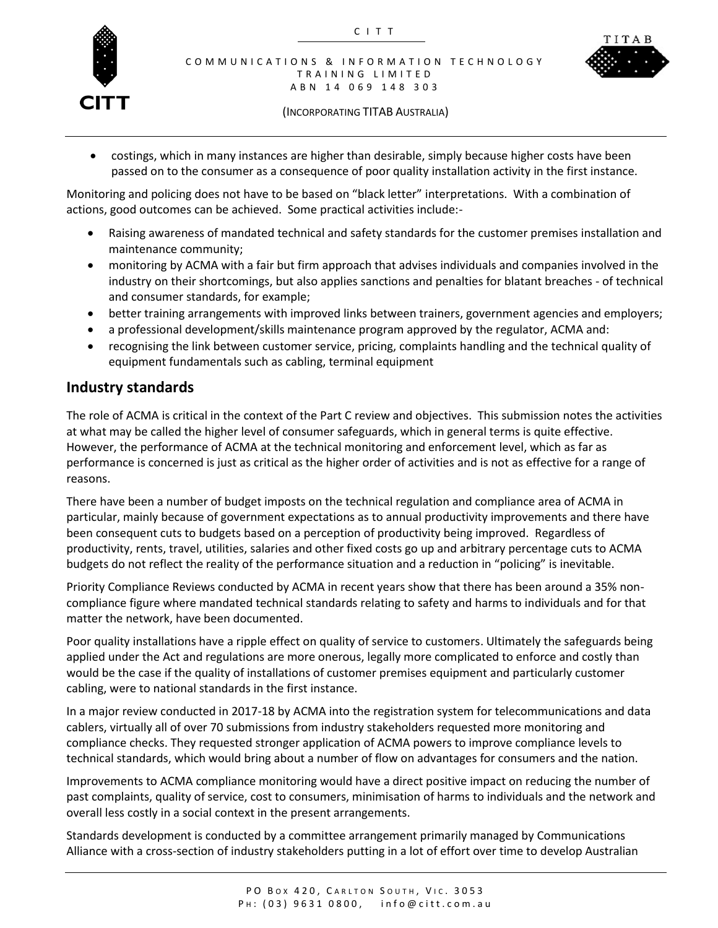



(INCORPORATING TITAB AUSTRALIA)

 costings, which in many instances are higher than desirable, simply because higher costs have been passed on to the consumer as a consequence of poor quality installation activity in the first instance.

Monitoring and policing does not have to be based on "black letter" interpretations. With a combination of actions, good outcomes can be achieved. Some practical activities include:-

- Raising awareness of mandated technical and safety standards for the customer premises installation and maintenance community;
- monitoring by ACMA with a fair but firm approach that advises individuals and companies involved in the industry on their shortcomings, but also applies sanctions and penalties for blatant breaches - of technical and consumer standards, for example;
- better training arrangements with improved links between trainers, government agencies and employers;
- a professional development/skills maintenance program approved by the regulator, ACMA and:
- recognising the link between customer service, pricing, complaints handling and the technical quality of equipment fundamentals such as cabling, terminal equipment

#### **Industry standards**

The role of ACMA is critical in the context of the Part C review and objectives. This submission notes the activities at what may be called the higher level of consumer safeguards, which in general terms is quite effective. However, the performance of ACMA at the technical monitoring and enforcement level, which as far as performance is concerned is just as critical as the higher order of activities and is not as effective for a range of reasons.

There have been a number of budget imposts on the technical regulation and compliance area of ACMA in particular, mainly because of government expectations as to annual productivity improvements and there have been consequent cuts to budgets based on a perception of productivity being improved. Regardless of productivity, rents, travel, utilities, salaries and other fixed costs go up and arbitrary percentage cuts to ACMA budgets do not reflect the reality of the performance situation and a reduction in "policing" is inevitable.

Priority Compliance Reviews conducted by ACMA in recent years show that there has been around a 35% noncompliance figure where mandated technical standards relating to safety and harms to individuals and for that matter the network, have been documented.

Poor quality installations have a ripple effect on quality of service to customers. Ultimately the safeguards being applied under the Act and regulations are more onerous, legally more complicated to enforce and costly than would be the case if the quality of installations of customer premises equipment and particularly customer cabling, were to national standards in the first instance.

In a major review conducted in 2017-18 by ACMA into the registration system for telecommunications and data cablers, virtually all of over 70 submissions from industry stakeholders requested more monitoring and compliance checks. They requested stronger application of ACMA powers to improve compliance levels to technical standards, which would bring about a number of flow on advantages for consumers and the nation.

Improvements to ACMA compliance monitoring would have a direct positive impact on reducing the number of past complaints, quality of service, cost to consumers, minimisation of harms to individuals and the network and overall less costly in a social context in the present arrangements.

Standards development is conducted by a committee arrangement primarily managed by Communications Alliance with a cross-section of industry stakeholders putting in a lot of effort over time to develop Australian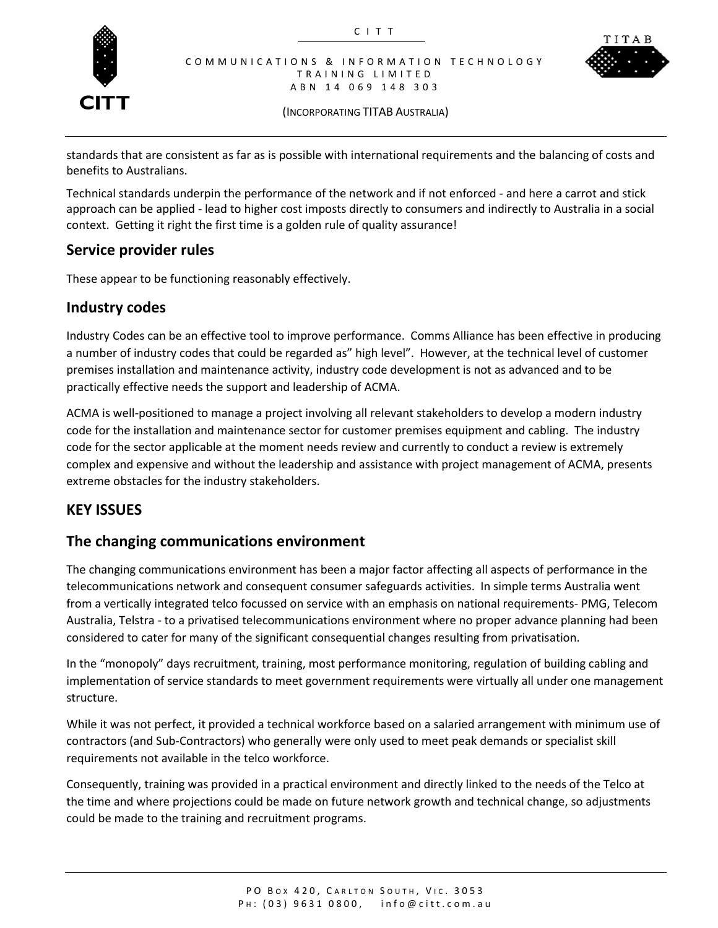



(INCORPORATING TITAB AUSTRALIA)

standards that are consistent as far as is possible with international requirements and the balancing of costs and benefits to Australians.

Technical standards underpin the performance of the network and if not enforced - and here a carrot and stick approach can be applied - lead to higher cost imposts directly to consumers and indirectly to Australia in a social context. Getting it right the first time is a golden rule of quality assurance!

#### **Service provider rules**

These appear to be functioning reasonably effectively.

#### **Industry codes**

Industry Codes can be an effective tool to improve performance. Comms Alliance has been effective in producing a number of industry codes that could be regarded as" high level". However, at the technical level of customer premises installation and maintenance activity, industry code development is not as advanced and to be practically effective needs the support and leadership of ACMA.

ACMA is well-positioned to manage a project involving all relevant stakeholders to develop a modern industry code for the installation and maintenance sector for customer premises equipment and cabling. The industry code for the sector applicable at the moment needs review and currently to conduct a review is extremely complex and expensive and without the leadership and assistance with project management of ACMA, presents extreme obstacles for the industry stakeholders.

#### **KEY ISSUES**

#### **The changing communications environment**

The changing communications environment has been a major factor affecting all aspects of performance in the telecommunications network and consequent consumer safeguards activities. In simple terms Australia went from a vertically integrated telco focussed on service with an emphasis on national requirements- PMG, Telecom Australia, Telstra - to a privatised telecommunications environment where no proper advance planning had been considered to cater for many of the significant consequential changes resulting from privatisation.

In the "monopoly" days recruitment, training, most performance monitoring, regulation of building cabling and implementation of service standards to meet government requirements were virtually all under one management structure.

While it was not perfect, it provided a technical workforce based on a salaried arrangement with minimum use of contractors (and Sub-Contractors) who generally were only used to meet peak demands or specialist skill requirements not available in the telco workforce.

Consequently, training was provided in a practical environment and directly linked to the needs of the Telco at the time and where projections could be made on future network growth and technical change, so adjustments could be made to the training and recruitment programs.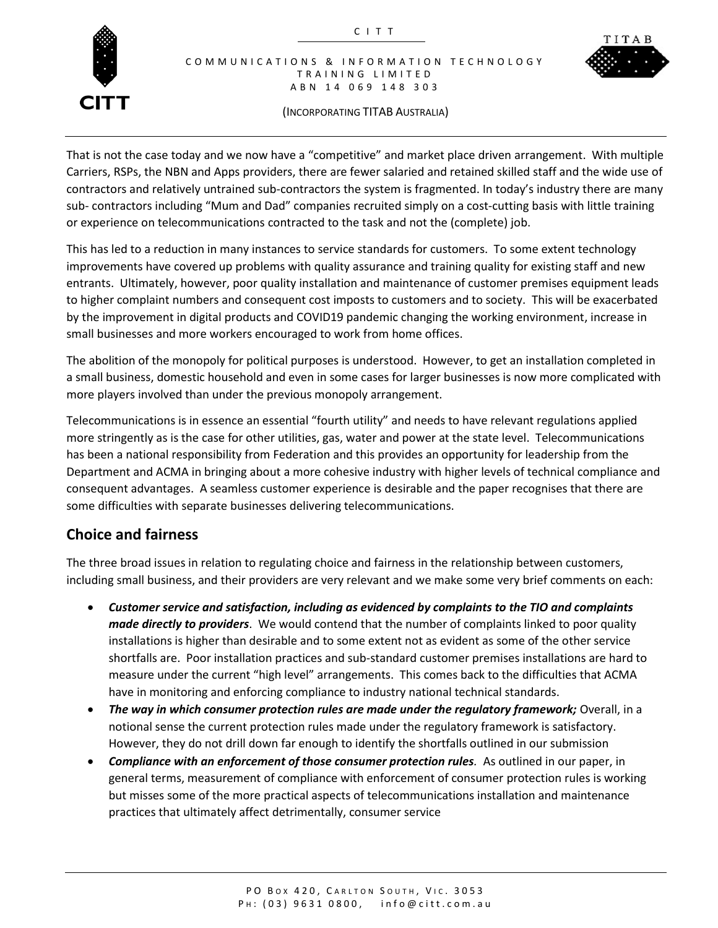



#### (INCORPORATING TITAB AUSTRALIA)

That is not the case today and we now have a "competitive" and market place driven arrangement. With multiple Carriers, RSPs, the NBN and Apps providers, there are fewer salaried and retained skilled staff and the wide use of contractors and relatively untrained sub-contractors the system is fragmented. In today's industry there are many sub- contractors including "Mum and Dad" companies recruited simply on a cost-cutting basis with little training or experience on telecommunications contracted to the task and not the (complete) job.

This has led to a reduction in many instances to service standards for customers. To some extent technology improvements have covered up problems with quality assurance and training quality for existing staff and new entrants. Ultimately, however, poor quality installation and maintenance of customer premises equipment leads to higher complaint numbers and consequent cost imposts to customers and to society. This will be exacerbated by the improvement in digital products and COVID19 pandemic changing the working environment, increase in small businesses and more workers encouraged to work from home offices.

The abolition of the monopoly for political purposes is understood. However, to get an installation completed in a small business, domestic household and even in some cases for larger businesses is now more complicated with more players involved than under the previous monopoly arrangement.

Telecommunications is in essence an essential "fourth utility" and needs to have relevant regulations applied more stringently as is the case for other utilities, gas, water and power at the state level. Telecommunications has been a national responsibility from Federation and this provides an opportunity for leadership from the Department and ACMA in bringing about a more cohesive industry with higher levels of technical compliance and consequent advantages. A seamless customer experience is desirable and the paper recognises that there are some difficulties with separate businesses delivering telecommunications.

#### **Choice and fairness**

The three broad issues in relation to regulating choice and fairness in the relationship between customers, including small business, and their providers are very relevant and we make some very brief comments on each:

- *Customer service and satisfaction, including as evidenced by complaints to the TIO and complaints made directly to providers*. We would contend that the number of complaints linked to poor quality installations is higher than desirable and to some extent not as evident as some of the other service shortfalls are. Poor installation practices and sub-standard customer premises installations are hard to measure under the current "high level" arrangements. This comes back to the difficulties that ACMA have in monitoring and enforcing compliance to industry national technical standards.
- *The way in which consumer protection rules are made under the regulatory framework;* Overall, in a notional sense the current protection rules made under the regulatory framework is satisfactory. However, they do not drill down far enough to identify the shortfalls outlined in our submission
- *Compliance with an enforcement of those consumer protection rules.* As outlined in our paper, in general terms, measurement of compliance with enforcement of consumer protection rules is working but misses some of the more practical aspects of telecommunications installation and maintenance practices that ultimately affect detrimentally, consumer service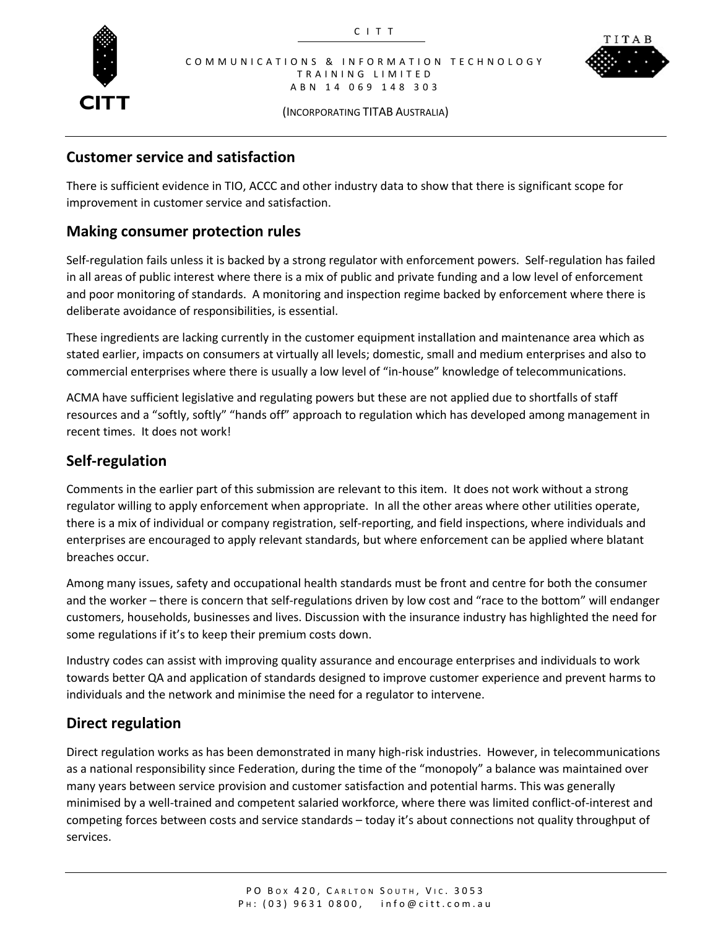



(INCORPORATING TITAB AUSTRALIA)

#### **Customer service and satisfaction**

There is sufficient evidence in TIO, ACCC and other industry data to show that there is significant scope for improvement in customer service and satisfaction.

#### **Making consumer protection rules**

Self-regulation fails unless it is backed by a strong regulator with enforcement powers. Self-regulation has failed in all areas of public interest where there is a mix of public and private funding and a low level of enforcement and poor monitoring of standards. A monitoring and inspection regime backed by enforcement where there is deliberate avoidance of responsibilities, is essential.

These ingredients are lacking currently in the customer equipment installation and maintenance area which as stated earlier, impacts on consumers at virtually all levels; domestic, small and medium enterprises and also to commercial enterprises where there is usually a low level of "in-house" knowledge of telecommunications.

ACMA have sufficient legislative and regulating powers but these are not applied due to shortfalls of staff resources and a "softly, softly" "hands off" approach to regulation which has developed among management in recent times. It does not work!

#### **Self-regulation**

Comments in the earlier part of this submission are relevant to this item. It does not work without a strong regulator willing to apply enforcement when appropriate. In all the other areas where other utilities operate, there is a mix of individual or company registration, self-reporting, and field inspections, where individuals and enterprises are encouraged to apply relevant standards, but where enforcement can be applied where blatant breaches occur.

Among many issues, safety and occupational health standards must be front and centre for both the consumer and the worker – there is concern that self-regulations driven by low cost and "race to the bottom" will endanger customers, households, businesses and lives. Discussion with the insurance industry has highlighted the need for some regulations if it's to keep their premium costs down.

Industry codes can assist with improving quality assurance and encourage enterprises and individuals to work towards better QA and application of standards designed to improve customer experience and prevent harms to individuals and the network and minimise the need for a regulator to intervene.

#### **Direct regulation**

Direct regulation works as has been demonstrated in many high-risk industries. However, in telecommunications as a national responsibility since Federation, during the time of the "monopoly" a balance was maintained over many years between service provision and customer satisfaction and potential harms. This was generally minimised by a well-trained and competent salaried workforce, where there was limited conflict-of-interest and competing forces between costs and service standards – today it's about connections not quality throughput of services.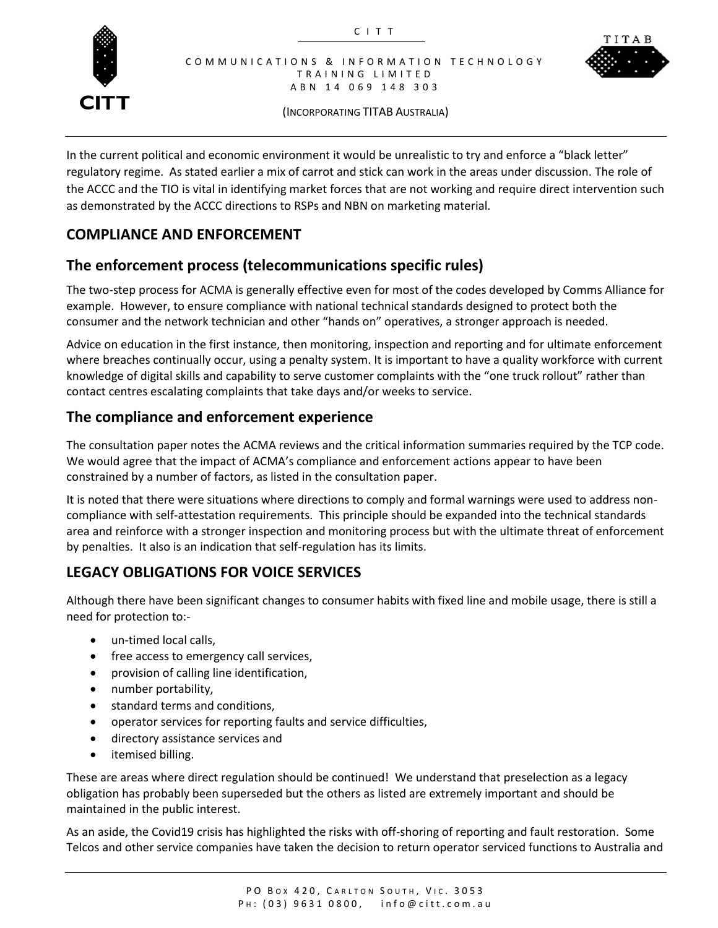



(INCORPORATING TITAB AUSTRALIA)

In the current political and economic environment it would be unrealistic to try and enforce a "black letter" regulatory regime. As stated earlier a mix of carrot and stick can work in the areas under discussion. The role of the ACCC and the TIO is vital in identifying market forces that are not working and require direct intervention such as demonstrated by the ACCC directions to RSPs and NBN on marketing material.

### **COMPLIANCE AND ENFORCEMENT**

### **The enforcement process (telecommunications specific rules)**

The two-step process for ACMA is generally effective even for most of the codes developed by Comms Alliance for example. However, to ensure compliance with national technical standards designed to protect both the consumer and the network technician and other "hands on" operatives, a stronger approach is needed.

Advice on education in the first instance, then monitoring, inspection and reporting and for ultimate enforcement where breaches continually occur, using a penalty system. It is important to have a quality workforce with current knowledge of digital skills and capability to serve customer complaints with the "one truck rollout" rather than contact centres escalating complaints that take days and/or weeks to service.

#### **The compliance and enforcement experience**

The consultation paper notes the ACMA reviews and the critical information summaries required by the TCP code. We would agree that the impact of ACMA's compliance and enforcement actions appear to have been constrained by a number of factors, as listed in the consultation paper.

It is noted that there were situations where directions to comply and formal warnings were used to address noncompliance with self-attestation requirements. This principle should be expanded into the technical standards area and reinforce with a stronger inspection and monitoring process but with the ultimate threat of enforcement by penalties. It also is an indication that self-regulation has its limits.

### **LEGACY OBLIGATIONS FOR VOICE SERVICES**

Although there have been significant changes to consumer habits with fixed line and mobile usage, there is still a need for protection to:-

- un-timed local calls,
- free access to emergency call services,
- provision of calling line identification,
- number portability,
- standard terms and conditions,
- operator services for reporting faults and service difficulties,
- directory assistance services and
- itemised billing.

These are areas where direct regulation should be continued! We understand that preselection as a legacy obligation has probably been superseded but the others as listed are extremely important and should be maintained in the public interest.

As an aside, the Covid19 crisis has highlighted the risks with off-shoring of reporting and fault restoration. Some Telcos and other service companies have taken the decision to return operator serviced functions to Australia and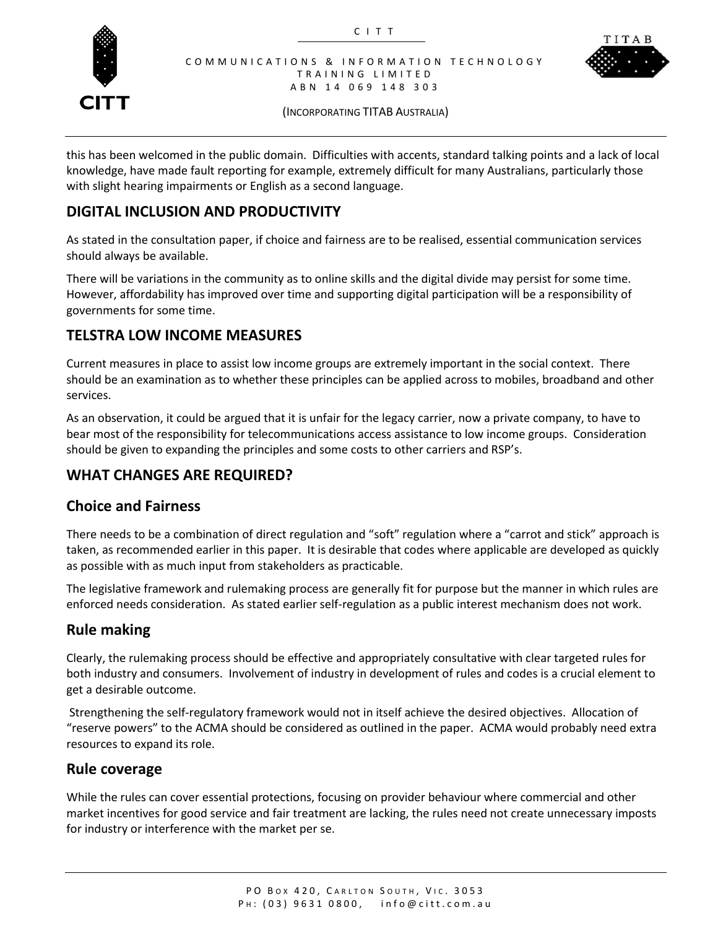



(INCORPORATING TITAB AUSTRALIA)

this has been welcomed in the public domain. Difficulties with accents, standard talking points and a lack of local knowledge, have made fault reporting for example, extremely difficult for many Australians, particularly those with slight hearing impairments or English as a second language.

#### **DIGITAL INCLUSION AND PRODUCTIVITY**

As stated in the consultation paper, if choice and fairness are to be realised, essential communication services should always be available.

There will be variations in the community as to online skills and the digital divide may persist for some time. However, affordability has improved over time and supporting digital participation will be a responsibility of governments for some time.

#### **TELSTRA LOW INCOME MEASURES**

Current measures in place to assist low income groups are extremely important in the social context. There should be an examination as to whether these principles can be applied across to mobiles, broadband and other services.

As an observation, it could be argued that it is unfair for the legacy carrier, now a private company, to have to bear most of the responsibility for telecommunications access assistance to low income groups. Consideration should be given to expanding the principles and some costs to other carriers and RSP's.

#### **WHAT CHANGES ARE REQUIRED?**

#### **Choice and Fairness**

There needs to be a combination of direct regulation and "soft" regulation where a "carrot and stick" approach is taken, as recommended earlier in this paper. It is desirable that codes where applicable are developed as quickly as possible with as much input from stakeholders as practicable.

The legislative framework and rulemaking process are generally fit for purpose but the manner in which rules are enforced needs consideration. As stated earlier self-regulation as a public interest mechanism does not work.

#### **Rule making**

Clearly, the rulemaking process should be effective and appropriately consultative with clear targeted rules for both industry and consumers. Involvement of industry in development of rules and codes is a crucial element to get a desirable outcome.

Strengthening the self-regulatory framework would not in itself achieve the desired objectives. Allocation of "reserve powers" to the ACMA should be considered as outlined in the paper. ACMA would probably need extra resources to expand its role.

#### **Rule coverage**

While the rules can cover essential protections, focusing on provider behaviour where commercial and other market incentives for good service and fair treatment are lacking, the rules need not create unnecessary imposts for industry or interference with the market per se.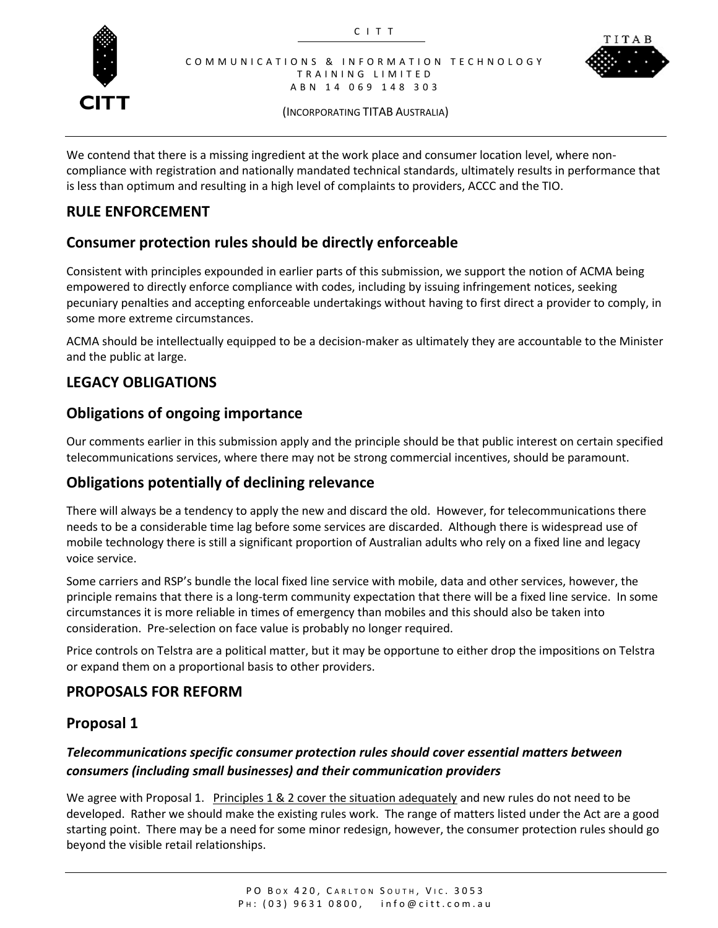



(INCORPORATING TITAB AUSTRALIA)

We contend that there is a missing ingredient at the work place and consumer location level, where noncompliance with registration and nationally mandated technical standards, ultimately results in performance that is less than optimum and resulting in a high level of complaints to providers, ACCC and the TIO.

#### **RULE ENFORCEMENT**

### **Consumer protection rules should be directly enforceable**

Consistent with principles expounded in earlier parts of this submission, we support the notion of ACMA being empowered to directly enforce compliance with codes, including by issuing infringement notices, seeking pecuniary penalties and accepting enforceable undertakings without having to first direct a provider to comply, in some more extreme circumstances.

ACMA should be intellectually equipped to be a decision-maker as ultimately they are accountable to the Minister and the public at large.

#### **LEGACY OBLIGATIONS**

#### **Obligations of ongoing importance**

Our comments earlier in this submission apply and the principle should be that public interest on certain specified telecommunications services, where there may not be strong commercial incentives, should be paramount.

#### **Obligations potentially of declining relevance**

There will always be a tendency to apply the new and discard the old. However, for telecommunications there needs to be a considerable time lag before some services are discarded. Although there is widespread use of mobile technology there is still a significant proportion of Australian adults who rely on a fixed line and legacy voice service.

Some carriers and RSP's bundle the local fixed line service with mobile, data and other services, however, the principle remains that there is a long-term community expectation that there will be a fixed line service. In some circumstances it is more reliable in times of emergency than mobiles and this should also be taken into consideration. Pre-selection on face value is probably no longer required.

Price controls on Telstra are a political matter, but it may be opportune to either drop the impositions on Telstra or expand them on a proportional basis to other providers.

#### **PROPOSALS FOR REFORM**

#### **Proposal 1**

#### *Telecommunications specific consumer protection rules should cover essential matters between consumers (including small businesses) and their communication providers*

We agree with Proposal 1. Principles 1 & 2 cover the situation adequately and new rules do not need to be developed. Rather we should make the existing rules work. The range of matters listed under the Act are a good starting point. There may be a need for some minor redesign, however, the consumer protection rules should go beyond the visible retail relationships.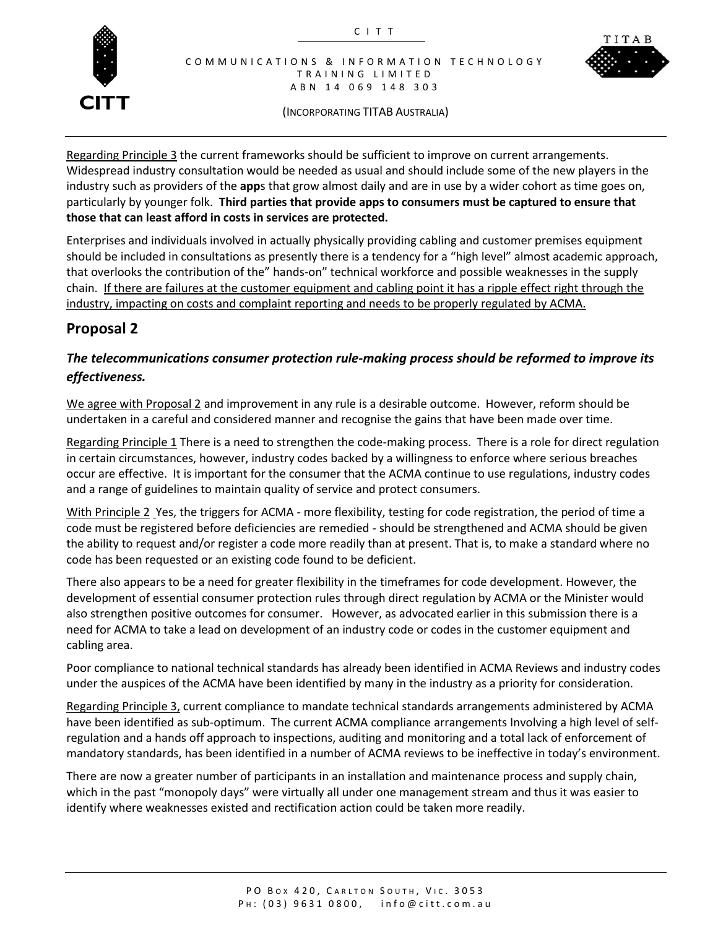



(INCORPORATING TITAB AUSTRALIA)

Regarding Principle 3 the current frameworks should be sufficient to improve on current arrangements. Widespread industry consultation would be needed as usual and should include some of the new players in the industry such as providers of the **app**s that grow almost daily and are in use by a wider cohort as time goes on, particularly by younger folk. **Third parties that provide apps to consumers must be captured to ensure that those that can least afford in costs in services are protected.**

Enterprises and individuals involved in actually physically providing cabling and customer premises equipment should be included in consultations as presently there is a tendency for a "high level" almost academic approach, that overlooks the contribution of the" hands-on" technical workforce and possible weaknesses in the supply chain. If there are failures at the customer equipment and cabling point it has a ripple effect right through the industry, impacting on costs and complaint reporting and needs to be properly regulated by ACMA.

#### **Proposal 2**

#### *The telecommunications consumer protection rule-making process should be reformed to improve its effectiveness.*

We agree with Proposal 2 and improvement in any rule is a desirable outcome. However, reform should be undertaken in a careful and considered manner and recognise the gains that have been made over time.

Regarding Principle 1 There is a need to strengthen the code-making process. There is a role for direct regulation in certain circumstances, however, industry codes backed by a willingness to enforce where serious breaches occur are effective. It is important for the consumer that the ACMA continue to use regulations, industry codes and a range of guidelines to maintain quality of service and protect consumers.

With Principle 2 Yes, the triggers for ACMA - more flexibility, testing for code registration, the period of time a code must be registered before deficiencies are remedied - should be strengthened and ACMA should be given the ability to request and/or register a code more readily than at present. That is, to make a standard where no code has been requested or an existing code found to be deficient.

There also appears to be a need for greater flexibility in the timeframes for code development. However, the development of essential consumer protection rules through direct regulation by ACMA or the Minister would also strengthen positive outcomes for consumer. However, as advocated earlier in this submission there is a need for ACMA to take a lead on development of an industry code or codes in the customer equipment and cabling area.

Poor compliance to national technical standards has already been identified in ACMA Reviews and industry codes under the auspices of the ACMA have been identified by many in the industry as a priority for consideration.

Regarding Principle 3, current compliance to mandate technical standards arrangements administered by ACMA have been identified as sub-optimum. The current ACMA compliance arrangements Involving a high level of selfregulation and a hands off approach to inspections, auditing and monitoring and a total lack of enforcement of mandatory standards, has been identified in a number of ACMA reviews to be ineffective in today's environment.

There are now a greater number of participants in an installation and maintenance process and supply chain, which in the past "monopoly days" were virtually all under one management stream and thus it was easier to identify where weaknesses existed and rectification action could be taken more readily.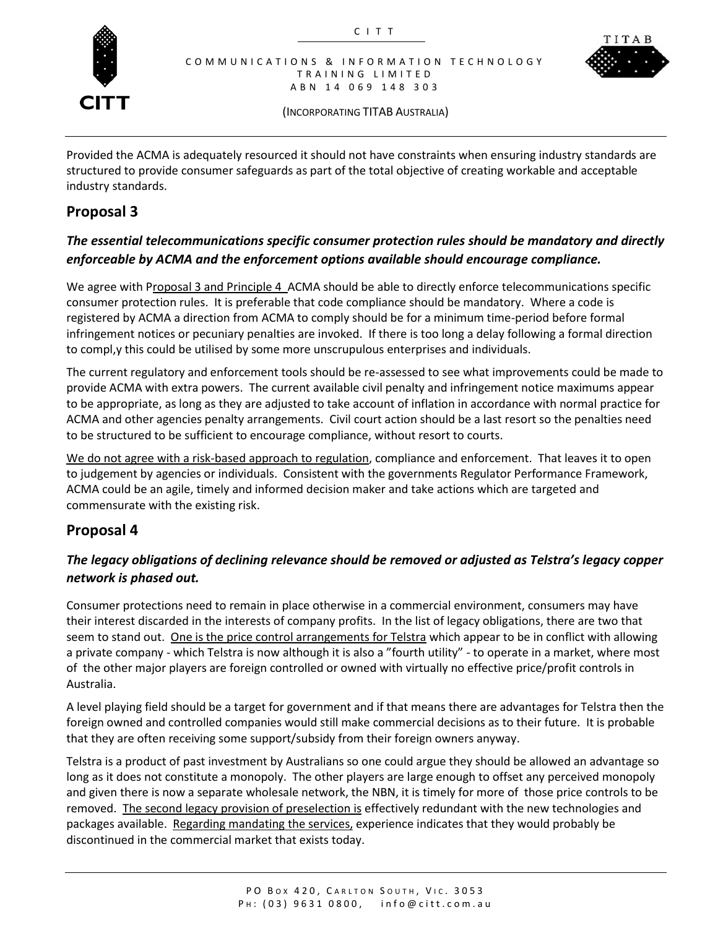



(INCORPORATING TITAB AUSTRALIA)

Provided the ACMA is adequately resourced it should not have constraints when ensuring industry standards are structured to provide consumer safeguards as part of the total objective of creating workable and acceptable industry standards.

#### **Proposal 3**

#### *The essential telecommunications specific consumer protection rules should be mandatory and directly enforceable by ACMA and the enforcement options available should encourage compliance.*

We agree with Proposal 3 and Principle 4 ACMA should be able to directly enforce telecommunications specific consumer protection rules. It is preferable that code compliance should be mandatory. Where a code is registered by ACMA a direction from ACMA to comply should be for a minimum time-period before formal infringement notices or pecuniary penalties are invoked. If there is too long a delay following a formal direction to compl,y this could be utilised by some more unscrupulous enterprises and individuals.

The current regulatory and enforcement tools should be re-assessed to see what improvements could be made to provide ACMA with extra powers. The current available civil penalty and infringement notice maximums appear to be appropriate, as long as they are adjusted to take account of inflation in accordance with normal practice for ACMA and other agencies penalty arrangements. Civil court action should be a last resort so the penalties need to be structured to be sufficient to encourage compliance, without resort to courts.

We do not agree with a risk-based approach to regulation, compliance and enforcement. That leaves it to open to judgement by agencies or individuals. Consistent with the governments Regulator Performance Framework, ACMA could be an agile, timely and informed decision maker and take actions which are targeted and commensurate with the existing risk.

#### **Proposal 4**

#### *The legacy obligations of declining relevance should be removed or adjusted as Telstra's legacy copper network is phased out.*

Consumer protections need to remain in place otherwise in a commercial environment, consumers may have their interest discarded in the interests of company profits. In the list of legacy obligations, there are two that seem to stand out. One is the price control arrangements for Telstra which appear to be in conflict with allowing a private company - which Telstra is now although it is also a "fourth utility" - to operate in a market, where most of the other major players are foreign controlled or owned with virtually no effective price/profit controls in Australia.

A level playing field should be a target for government and if that means there are advantages for Telstra then the foreign owned and controlled companies would still make commercial decisions as to their future. It is probable that they are often receiving some support/subsidy from their foreign owners anyway.

Telstra is a product of past investment by Australians so one could argue they should be allowed an advantage so long as it does not constitute a monopoly. The other players are large enough to offset any perceived monopoly and given there is now a separate wholesale network, the NBN, it is timely for more of those price controls to be removed. The second legacy provision of preselection is effectively redundant with the new technologies and packages available. Regarding mandating the services, experience indicates that they would probably be discontinued in the commercial market that exists today.